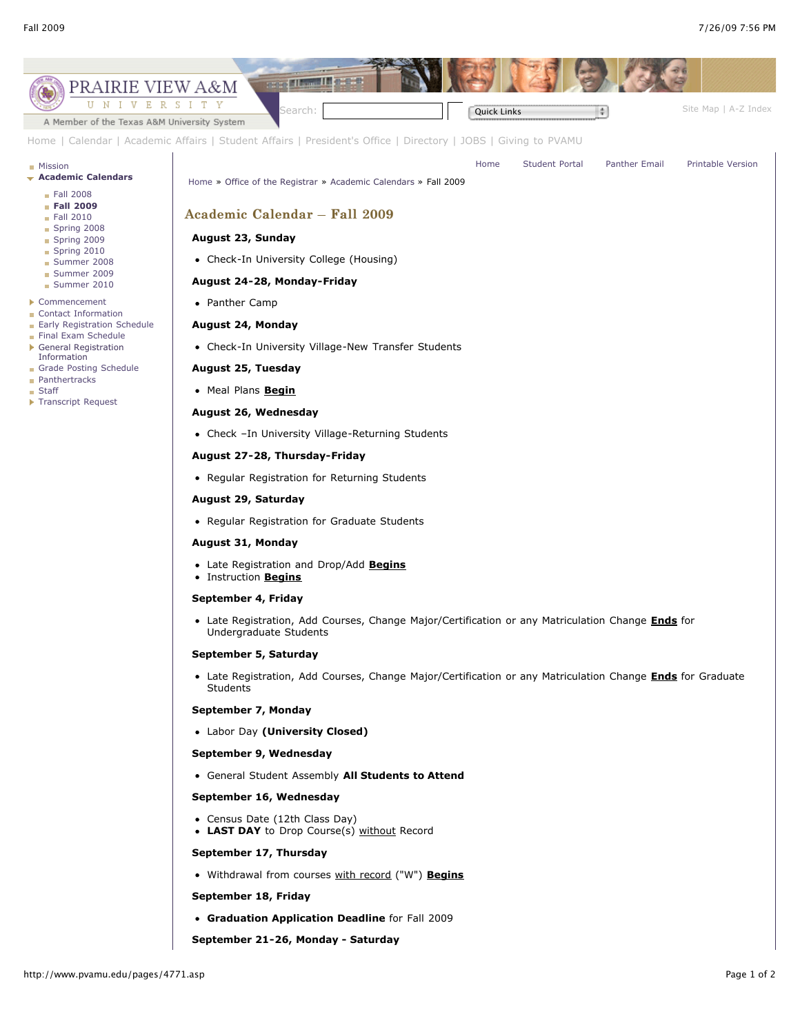